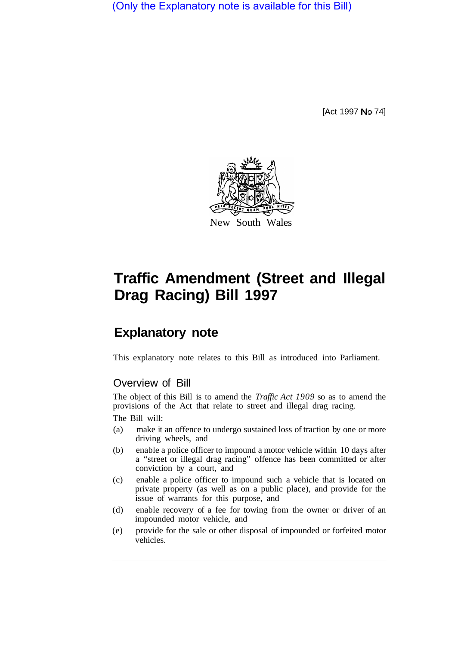(Only the Explanatory note is available for this Bill)

[Act 1997 No 74]



## **Traffic Amendment (Street and Illegal Drag Racing) Bill 1997**

## **Explanatory note**

This explanatory note relates to this Bill as introduced into Parliament.

## Overview of Bill

The object of this Bill is to amend the *Traffic Act 1909* so as to amend the provisions of the Act that relate to street and illegal drag racing. The Bill will:

- (a) make it an offence to undergo sustained loss of traction by one or more driving wheels, and
- (b) enable a police officer to impound a motor vehicle within 10 days after a "street or illegal drag racing" offence has been committed or after conviction by a court, and
- (c) enable a police officer to impound such a vehicle that is located on private property (as well as on a public place), and provide for the issue of warrants for this purpose, and
- (d) enable recovery of a fee for towing from the owner or driver of an impounded motor vehicle, and
- (e) provide for the sale or other disposal of impounded or forfeited motor vehicles.